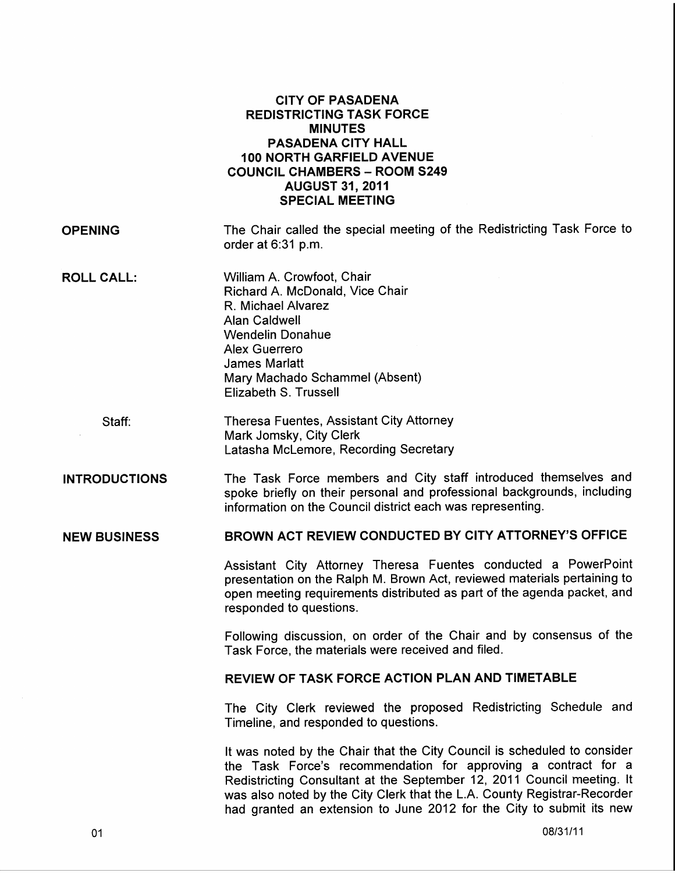|                      | <b>CITY OF PASADENA</b><br><b>REDISTRICTING TASK FORCE</b><br><b>MINUTES</b><br><b>PASADENA CITY HALL</b><br><b>100 NORTH GARFIELD AVENUE</b><br><b>COUNCIL CHAMBERS - ROOM S249</b><br><b>AUGUST 31, 2011</b><br><b>SPECIAL MEETING</b>                                                                                                                                 |
|----------------------|--------------------------------------------------------------------------------------------------------------------------------------------------------------------------------------------------------------------------------------------------------------------------------------------------------------------------------------------------------------------------|
| <b>OPENING</b>       | The Chair called the special meeting of the Redistricting Task Force to<br>order at 6:31 p.m.                                                                                                                                                                                                                                                                            |
| <b>ROLL CALL:</b>    | William A. Crowfoot, Chair<br>Richard A. McDonald, Vice Chair<br>R. Michael Alvarez<br><b>Alan Caldwell</b><br><b>Wendelin Donahue</b><br>Alex Guerrero<br><b>James Marlatt</b><br>Mary Machado Schammel (Absent)<br>Elizabeth S. Trussell                                                                                                                               |
| Staff:               | Theresa Fuentes, Assistant City Attorney<br>Mark Jomsky, City Clerk<br>Latasha McLemore, Recording Secretary                                                                                                                                                                                                                                                             |
| <b>INTRODUCTIONS</b> | The Task Force members and City staff introduced themselves and<br>spoke briefly on their personal and professional backgrounds, including<br>information on the Council district each was representing.                                                                                                                                                                 |
| <b>NEW BUSINESS</b>  | BROWN ACT REVIEW CONDUCTED BY CITY ATTORNEY'S OFFICE                                                                                                                                                                                                                                                                                                                     |
|                      | Assistant City Attorney Theresa Fuentes conducted a PowerPoint<br>presentation on the Ralph M. Brown Act, reviewed materials pertaining to<br>open meeting requirements distributed as part of the agenda packet, and<br>responded to questions.                                                                                                                         |
|                      | Following discussion, on order of the Chair and by consensus of the<br>Task Force, the materials were received and filed.                                                                                                                                                                                                                                                |
|                      | REVIEW OF TASK FORCE ACTION PLAN AND TIMETABLE                                                                                                                                                                                                                                                                                                                           |
|                      | The City Clerk reviewed the proposed Redistricting Schedule and<br>Timeline, and responded to questions.                                                                                                                                                                                                                                                                 |
|                      | It was noted by the Chair that the City Council is scheduled to consider<br>the Task Force's recommendation for approving a contract for a<br>Redistricting Consultant at the September 12, 2011 Council meeting. It<br>was also noted by the City Clerk that the L.A. County Registrar-Recorder<br>had granted an extension to June 2012 for the City to submit its new |
|                      |                                                                                                                                                                                                                                                                                                                                                                          |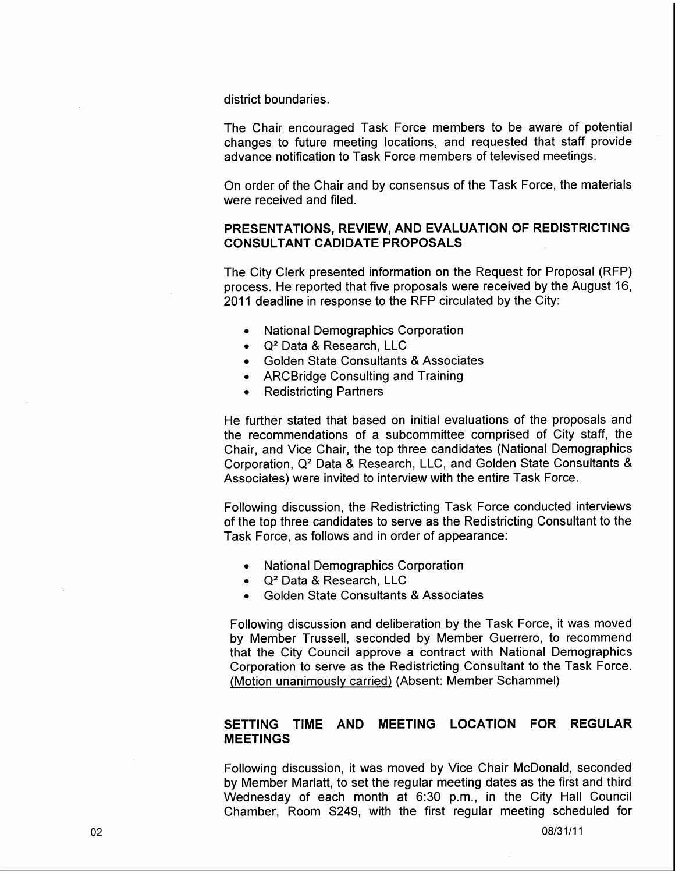district boundaries.

The Chair encouraged Task Force members to be aware of potential changes to future meeting locations, and requested that staff provide advance notification to Task Force members of televised meetings.

On order of the Chair and by consensus of the Task Force, the materials were received and filed.

## PRESENTATIONS, REVIEW, AND EVALUATION OF REDISTRICTING CONSULTANT CADIDATE PROPOSALS

The City Clerk presented information on the Request for Proposal (RFP) process. He reported that five proposals were received by the August 16, 2011 deadline in response to the RFP circulated by the City:

- National Demographics Corporation
- $\bullet$  Q<sup>2</sup> Data & Research, LLC
- Golden State Consultants & Associates
- ARCBridge Consulting and Training
- Redistricting Partners

He further stated that based on initial evaluations of the proposals and the recommendations of a subcommittee comprised of City staff, the Chair, and Vice Chair, the top three candidates (National Demographics Corporation, Q2 Data & Research, LLC, and Golden State Consultants & Associates) were invited to interview with the entire Task Force.

Following discussion, the Redistricting Task Force conducted interviews of the top three candidates to serve as the Redistricting Consultant to the Task Force, as follows and in order of appearance:

- National Demographics Corporation
- $\bullet$  Q<sup>2</sup> Data & Research, LLC
- Golden State Consultants & Associates

Following discussion and deliberation by the Task Force, it was moved by Member Trussell, seconded by Member Guerrero, to recommend that the City Council approve a contract with National Demographics Corporation to serve as the Redistricting Consultant to the Task Force. (Motion unanimously carried) (Absent: Member Schammel)

## SETTING TIME AND MEETING LOCATION FOR REGULAR MEETINGS

Following discussion, it was moved by Vice Chair McDonald, seconded by Member Marlatt, to set the regular meeting dates as the first and third Wednesday of each month at 6:30 p.m., in the City Hall Council Chamber, Room S249, with the first regular meeting scheduled for